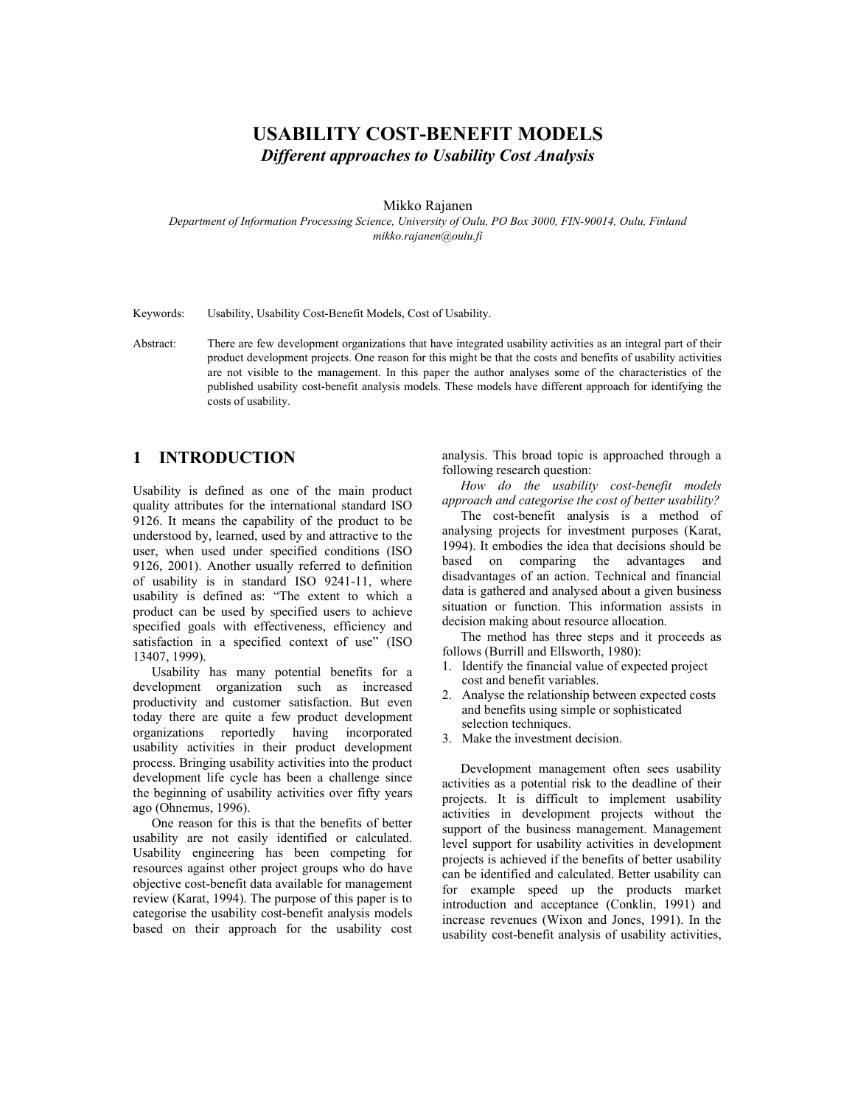# **USABILITY COST-BENEFIT MODELS**  *Different approaches to Usability Cost Analysis*

#### Mikko Rajanen

*Department of Information Processing Science, University of Oulu, PO Box 3000, FIN-90014, Oulu, Finland mikko.rajanen@oulu.fi* 

Keywords: Usability, Usability Cost-Benefit Models, Cost of Usability.

Abstract: There are few development organizations that have integrated usability activities as an integral part of their product development projects. One reason for this might be that the costs and benefits of usability activities are not visible to the management. In this paper the author analyses some of the characteristics of the published usability cost-benefit analysis models. These models have different approach for identifying the costs of usability.

# **1 INTRODUCTION**

Usability is defined as one of the main product quality attributes for the international standard ISO 9126. It means the capability of the product to be understood by, learned, used by and attractive to the user, when used under specified conditions (ISO 9126, 2001). Another usually referred to definition of usability is in standard ISO 9241-11, where usability is defined as: "The extent to which a product can be used by specified users to achieve specified goals with effectiveness, efficiency and satisfaction in a specified context of use" (ISO 13407, 1999).

Usability has many potential benefits for a development organization such as increased productivity and customer satisfaction. But even today there are quite a few product development organizations reportedly having incorporated usability activities in their product development process. Bringing usability activities into the product development life cycle has been a challenge since the beginning of usability activities over fifty years ago (Ohnemus, 1996).

One reason for this is that the benefits of better usability are not easily identified or calculated. Usability engineering has been competing for resources against other project groups who do have objective cost-benefit data available for management review (Karat, 1994). The purpose of this paper is to categorise the usability cost-benefit analysis models based on their approach for the usability cost analysis. This broad topic is approached through a following research question:

*How do the usability cost-benefit models approach and categorise the cost of better usability?* 

The cost-benefit analysis is a method of analysing projects for investment purposes (Karat, 1994). It embodies the idea that decisions should be based on comparing the advantages and disadvantages of an action. Technical and financial data is gathered and analysed about a given business situation or function. This information assists in decision making about resource allocation.

The method has three steps and it proceeds as follows (Burrill and Ellsworth, 1980):

- 1. Identify the financial value of expected project cost and benefit variables.
- 2. Analyse the relationship between expected costs and benefits using simple or sophisticated selection techniques.
- 3. Make the investment decision.

Development management often sees usability activities as a potential risk to the deadline of their projects. It is difficult to implement usability activities in development projects without the support of the business management. Management level support for usability activities in development projects is achieved if the benefits of better usability can be identified and calculated. Better usability can for example speed up the products market introduction and acceptance (Conklin, 1991) and increase revenues (Wixon and Jones, 1991). In the usability cost-benefit analysis of usability activities,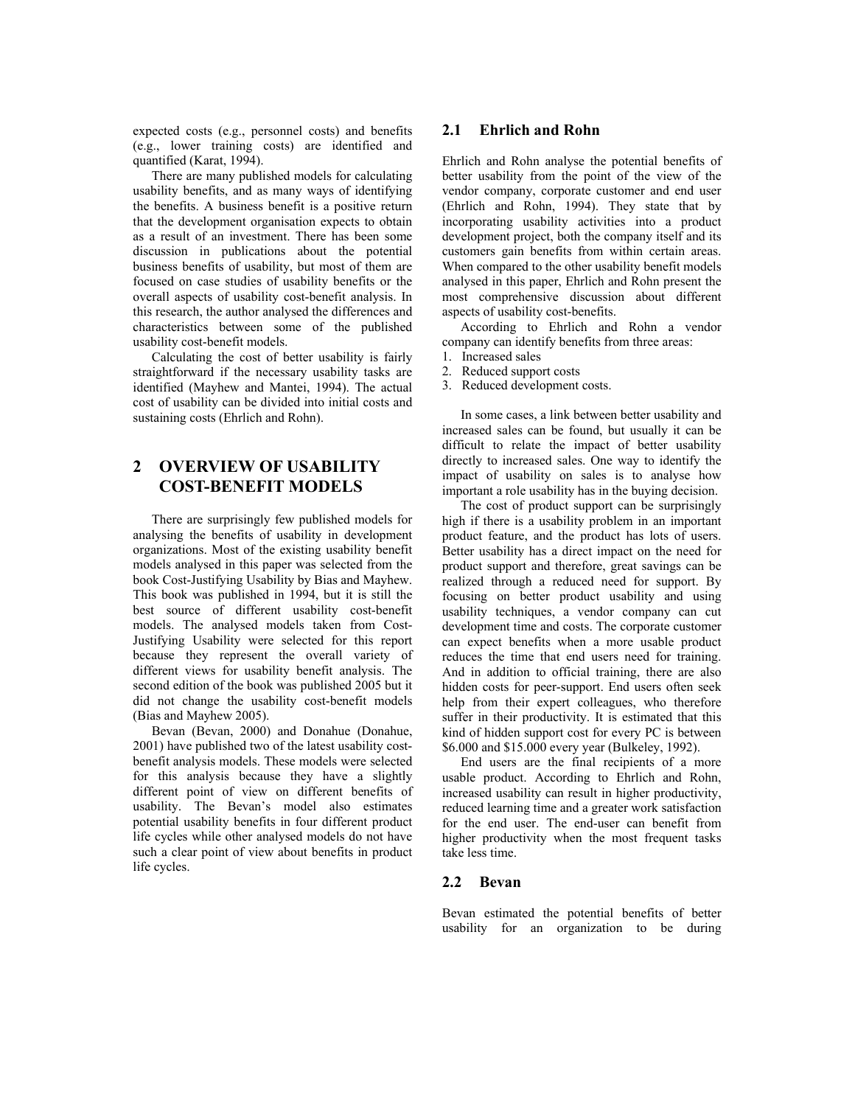expected costs (e.g., personnel costs) and benefits (e.g., lower training costs) are identified and quantified (Karat, 1994).

There are many published models for calculating usability benefits, and as many ways of identifying the benefits. A business benefit is a positive return that the development organisation expects to obtain as a result of an investment. There has been some discussion in publications about the potential business benefits of usability, but most of them are focused on case studies of usability benefits or the overall aspects of usability cost-benefit analysis. In this research, the author analysed the differences and characteristics between some of the published usability cost-benefit models.

Calculating the cost of better usability is fairly straightforward if the necessary usability tasks are identified (Mayhew and Mantei, 1994). The actual cost of usability can be divided into initial costs and sustaining costs (Ehrlich and Rohn).

# **2 OVERVIEW OF USABILITY COST-BENEFIT MODELS**

There are surprisingly few published models for analysing the benefits of usability in development organizations. Most of the existing usability benefit models analysed in this paper was selected from the book Cost-Justifying Usability by Bias and Mayhew. This book was published in 1994, but it is still the best source of different usability cost-benefit models. The analysed models taken from Cost-Justifying Usability were selected for this report because they represent the overall variety of different views for usability benefit analysis. The second edition of the book was published 2005 but it did not change the usability cost-benefit models (Bias and Mayhew 2005).

Bevan (Bevan, 2000) and Donahue (Donahue, 2001) have published two of the latest usability costbenefit analysis models. These models were selected for this analysis because they have a slightly different point of view on different benefits of usability. The Bevan's model also estimates potential usability benefits in four different product life cycles while other analysed models do not have such a clear point of view about benefits in product life cycles.

#### **2.1 Ehrlich and Rohn**

Ehrlich and Rohn analyse the potential benefits of better usability from the point of the view of the vendor company, corporate customer and end user (Ehrlich and Rohn, 1994). They state that by incorporating usability activities into a product development project, both the company itself and its customers gain benefits from within certain areas. When compared to the other usability benefit models analysed in this paper, Ehrlich and Rohn present the most comprehensive discussion about different aspects of usability cost-benefits.

According to Ehrlich and Rohn a vendor company can identify benefits from three areas:

- 1. Increased sales
- 2. Reduced support costs
- 3. Reduced development costs.

In some cases, a link between better usability and increased sales can be found, but usually it can be difficult to relate the impact of better usability directly to increased sales. One way to identify the impact of usability on sales is to analyse how important a role usability has in the buying decision.

The cost of product support can be surprisingly high if there is a usability problem in an important product feature, and the product has lots of users. Better usability has a direct impact on the need for product support and therefore, great savings can be realized through a reduced need for support. By focusing on better product usability and using usability techniques, a vendor company can cut development time and costs. The corporate customer can expect benefits when a more usable product reduces the time that end users need for training. And in addition to official training, there are also hidden costs for peer-support. End users often seek help from their expert colleagues, who therefore suffer in their productivity. It is estimated that this kind of hidden support cost for every PC is between \$6.000 and \$15.000 every year (Bulkeley, 1992).

End users are the final recipients of a more usable product. According to Ehrlich and Rohn, increased usability can result in higher productivity, reduced learning time and a greater work satisfaction for the end user. The end-user can benefit from higher productivity when the most frequent tasks take less time.

## **2.2 Bevan**

Bevan estimated the potential benefits of better usability for an organization to be during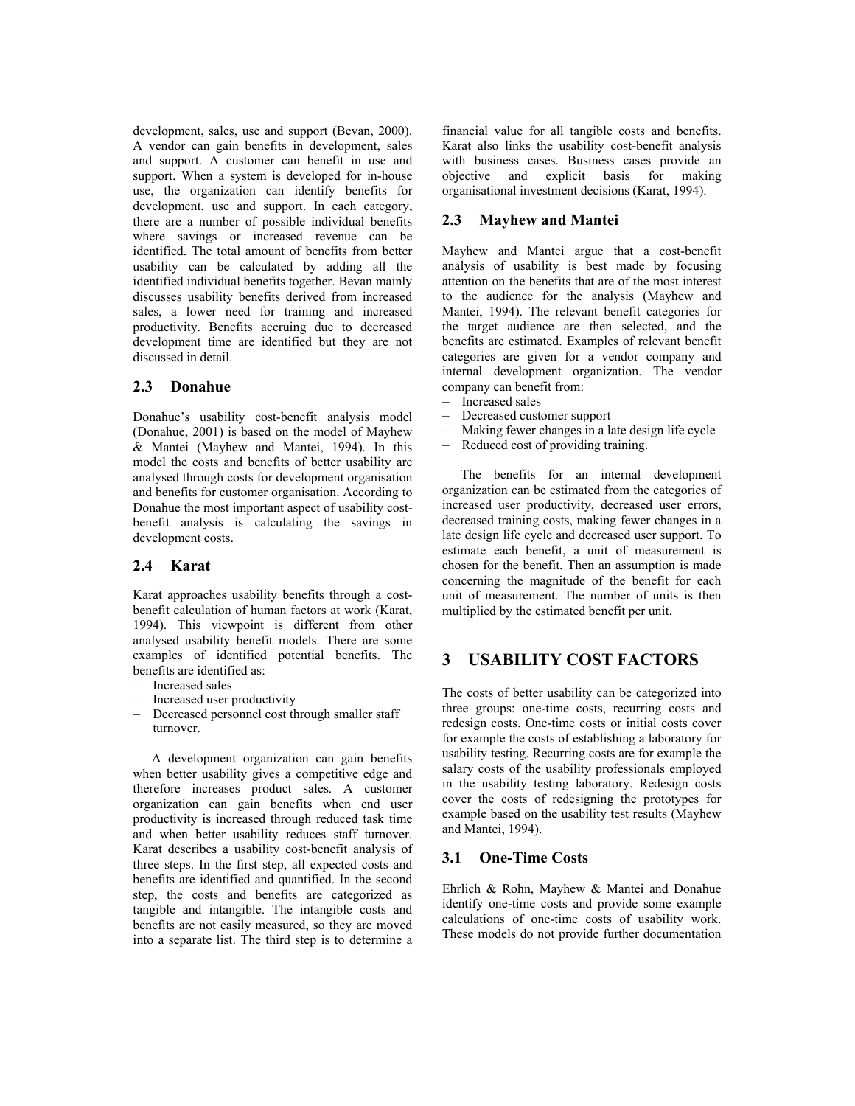development, sales, use and support (Bevan, 2000). A vendor can gain benefits in development, sales and support. A customer can benefit in use and support. When a system is developed for in-house use, the organization can identify benefits for development, use and support. In each category, there are a number of possible individual benefits where savings or increased revenue can be identified. The total amount of benefits from better usability can be calculated by adding all the identified individual benefits together. Bevan mainly discusses usability benefits derived from increased sales, a lower need for training and increased productivity. Benefits accruing due to decreased development time are identified but they are not discussed in detail.

#### **2.3 Donahue**

Donahue's usability cost-benefit analysis model (Donahue, 2001) is based on the model of Mayhew & Mantei (Mayhew and Mantei, 1994). In this model the costs and benefits of better usability are analysed through costs for development organisation and benefits for customer organisation. According to Donahue the most important aspect of usability costbenefit analysis is calculating the savings in development costs.

#### **2.4 Karat**

Karat approaches usability benefits through a costbenefit calculation of human factors at work (Karat, 1994). This viewpoint is different from other analysed usability benefit models. There are some examples of identified potential benefits. The benefits are identified as:

- Increased sales
- Increased user productivity
- Decreased personnel cost through smaller staff turnover.

A development organization can gain benefits when better usability gives a competitive edge and therefore increases product sales. A customer organization can gain benefits when end user productivity is increased through reduced task time and when better usability reduces staff turnover. Karat describes a usability cost-benefit analysis of three steps. In the first step, all expected costs and benefits are identified and quantified. In the second step, the costs and benefits are categorized as tangible and intangible. The intangible costs and benefits are not easily measured, so they are moved into a separate list. The third step is to determine a

financial value for all tangible costs and benefits. Karat also links the usability cost-benefit analysis with business cases. Business cases provide an objective and explicit basis for making organisational investment decisions (Karat, 1994).

## **2.3 Mayhew and Mantei**

Mayhew and Mantei argue that a cost-benefit analysis of usability is best made by focusing attention on the benefits that are of the most interest to the audience for the analysis (Mayhew and Mantei, 1994). The relevant benefit categories for the target audience are then selected, and the benefits are estimated. Examples of relevant benefit categories are given for a vendor company and internal development organization. The vendor company can benefit from:

- Increased sales
- Decreased customer support
- Making fewer changes in a late design life cycle
- Reduced cost of providing training.

The benefits for an internal development organization can be estimated from the categories of increased user productivity, decreased user errors, decreased training costs, making fewer changes in a late design life cycle and decreased user support. To estimate each benefit, a unit of measurement is chosen for the benefit. Then an assumption is made concerning the magnitude of the benefit for each unit of measurement. The number of units is then multiplied by the estimated benefit per unit.

# **3 USABILITY COST FACTORS**

The costs of better usability can be categorized into three groups: one-time costs, recurring costs and redesign costs. One-time costs or initial costs cover for example the costs of establishing a laboratory for usability testing. Recurring costs are for example the salary costs of the usability professionals employed in the usability testing laboratory. Redesign costs cover the costs of redesigning the prototypes for example based on the usability test results (Mayhew and Mantei, 1994).

#### **3.1 One-Time Costs**

Ehrlich & Rohn, Mayhew & Mantei and Donahue identify one-time costs and provide some example calculations of one-time costs of usability work. These models do not provide further documentation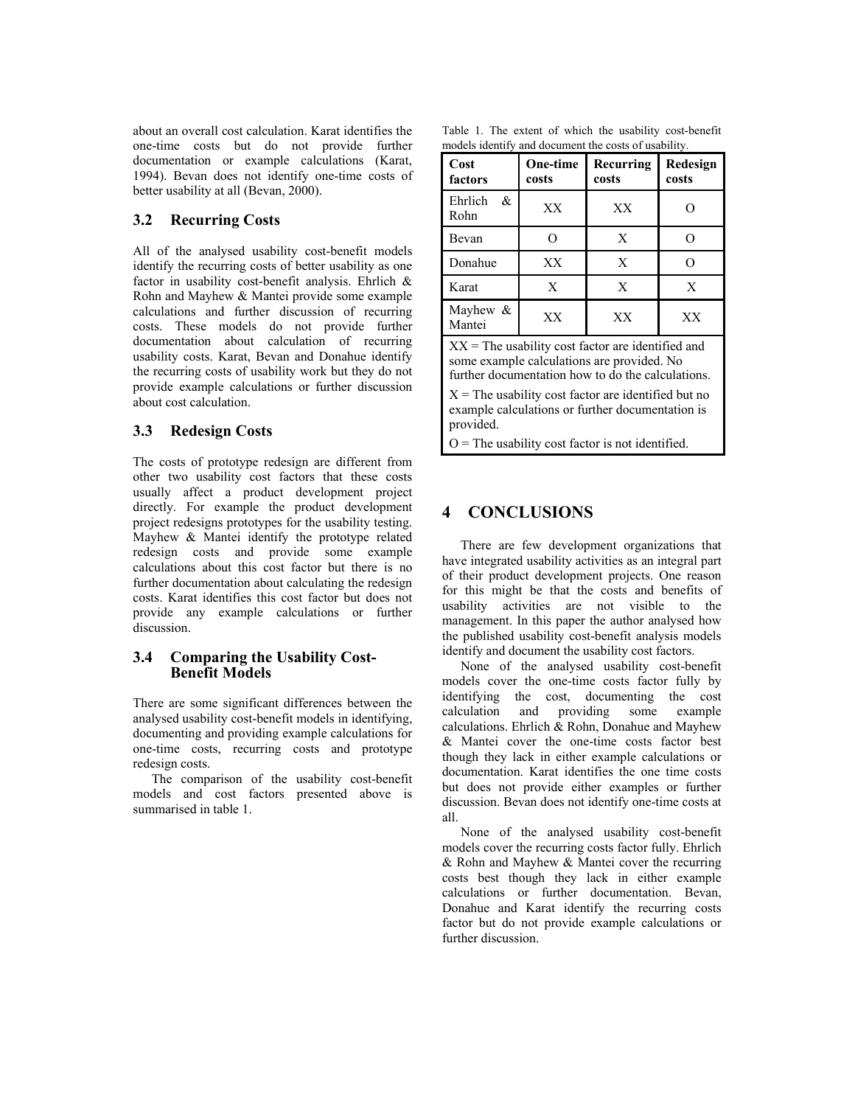about an overall cost calculation. Karat identifies the one-time costs but do not provide further documentation or example calculations (Karat, 1994). Bevan does not identify one-time costs of better usability at all (Bevan, 2000).

## **3.2 Recurring Costs**

All of the analysed usability cost-benefit models identify the recurring costs of better usability as one factor in usability cost-benefit analysis. Ehrlich & Rohn and Mayhew & Mantei provide some example calculations and further discussion of recurring costs. These models do not provide further documentation about calculation of recurring usability costs. Karat, Bevan and Donahue identify the recurring costs of usability work but they do not provide example calculations or further discussion about cost calculation.

## **3.3 Redesign Costs**

The costs of prototype redesign are different from other two usability cost factors that these costs usually affect a product development project directly. For example the product development project redesigns prototypes for the usability testing. Mayhew & Mantei identify the prototype related redesign costs and provide some example calculations about this cost factor but there is no further documentation about calculating the redesign costs. Karat identifies this cost factor but does not provide any example calculations or further discussion.

## **3.4 Comparing the Usability Cost-Benefit Models**

There are some significant differences between the analysed usability cost-benefit models in identifying, documenting and providing example calculations for one-time costs, recurring costs and prototype redesign costs.

The comparison of the usability cost-benefit models and cost factors presented above is summarised in table 1.

Table 1. The extent of which the usability cost-benefit models identify and document the costs of usability.

| Cost<br>factors       | One-time<br>costs | Recurring<br>costs | Redesign<br>costs |
|-----------------------|-------------------|--------------------|-------------------|
| Ehrlich<br>&<br>Rohn  | XX                | XX                 |                   |
| Bevan                 |                   | X                  |                   |
| Donahue               | XX                | X                  |                   |
| Karat                 | X                 | X                  | X                 |
| Mayhew $\&$<br>Mantei | XX                | XX                 | XX                |

 $XX =$ The usability cost factor are identified and some example calculations are provided. No further documentation how to do the calculations.

 $X =$ The usability cost factor are identified but no example calculations or further documentation is provided.

 $O =$ The usability cost factor is not identified.

# **4 CONCLUSIONS**

There are few development organizations that have integrated usability activities as an integral part of their product development projects. One reason for this might be that the costs and benefits of usability activities are not visible to the management. In this paper the author analysed how the published usability cost-benefit analysis models identify and document the usability cost factors.

None of the analysed usability cost-benefit models cover the one-time costs factor fully by identifying the cost, documenting the cost calculation and providing some example calculations. Ehrlich & Rohn, Donahue and Mayhew & Mantei cover the one-time costs factor best though they lack in either example calculations or documentation. Karat identifies the one time costs but does not provide either examples or further discussion. Bevan does not identify one-time costs at all.

None of the analysed usability cost-benefit models cover the recurring costs factor fully. Ehrlich & Rohn and Mayhew & Mantei cover the recurring costs best though they lack in either example calculations or further documentation. Bevan, Donahue and Karat identify the recurring costs factor but do not provide example calculations or further discussion.